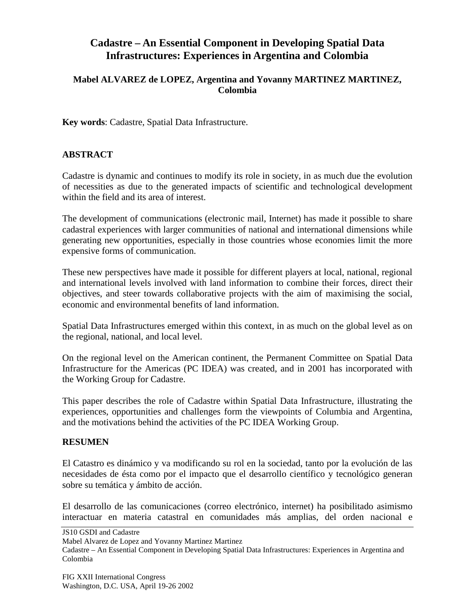# **Cadastre – An Essential Component in Developing Spatial Data Infrastructures: Experiences in Argentina and Colombia**

### **Mabel ALVAREZ de LOPEZ, Argentina and Yovanny MARTINEZ MARTINEZ, Colombia**

**Key words**: Cadastre, Spatial Data Infrastructure.

## **ABSTRACT**

Cadastre is dynamic and continues to modify its role in society, in as much due the evolution of necessities as due to the generated impacts of scientific and technological development within the field and its area of interest.

The development of communications (electronic mail, Internet) has made it possible to share cadastral experiences with larger communities of national and international dimensions while generating new opportunities, especially in those countries whose economies limit the more expensive forms of communication.

These new perspectives have made it possible for different players at local, national, regional and international levels involved with land information to combine their forces, direct their objectives, and steer towards collaborative projects with the aim of maximising the social, economic and environmental benefits of land information.

Spatial Data Infrastructures emerged within this context, in as much on the global level as on the regional, national, and local level.

On the regional level on the American continent, the Permanent Committee on Spatial Data Infrastructure for the Americas (PC IDEA) was created, and in 2001 has incorporated with the Working Group for Cadastre.

This paper describes the role of Cadastre within Spatial Data Infrastructure, illustrating the experiences, opportunities and challenges form the viewpoints of Columbia and Argentina, and the motivations behind the activities of the PC IDEA Working Group.

#### **RESUMEN**

El Catastro es dinámico y va modificando su rol en la sociedad, tanto por la evolución de las necesidades de ésta como por el impacto que el desarrollo científico y tecnológico generan sobre su temática y ámbito de acción.

El desarrollo de las comunicaciones (correo electrónico, internet) ha posibilitado asimismo interactuar en materia catastral en comunidades más amplias, del orden nacional e

JS10 GSDI and Cadastre

Mabel Alvarez de Lopez and Yovanny Martinez Martinez

Cadastre – An Essential Component in Developing Spatial Data Infrastructures: Experiences in Argentina and Colombia